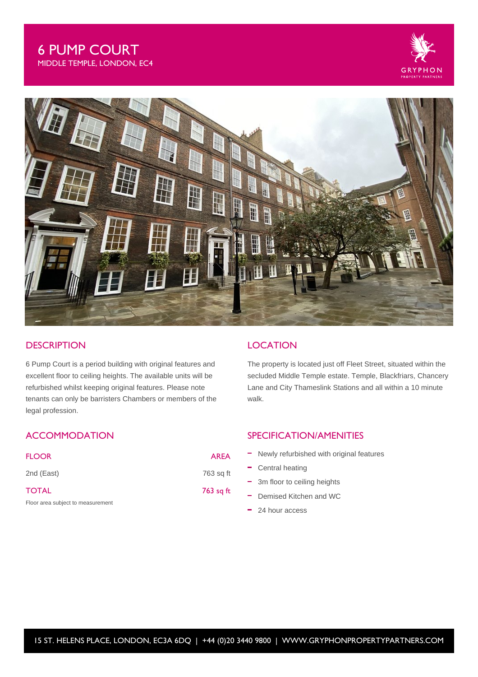



### **DESCRIPTION**

6 Pump Court is a period building with original features and excellent floor to ceiling heights. The available units will be refurbished whilst keeping original features. Please note tenants can only be barristers Chambers or members of the legal profession.

# **ACCOMMODATION**

| <b>FLOOR</b>                      | <b>AREA</b> |
|-----------------------------------|-------------|
| 2nd (East)                        | 763 sq ft   |
| <b>TOTAL</b>                      | 763 sq ft   |
| Floor area subject to measurement |             |

### **LOCATION**

The property is located just off Fleet Street, situated within the secluded Middle Temple estate. Temple, Blackfriars, Chancery Lane and City Thameslink Stations and all within a 10 minute walk.

## SPECIFICATION/AMENITIES

- Newly refurbished with original features
- Central heating
- 3m floor to ceiling heights
- Demised Kitchen and WC
- 24 hour access